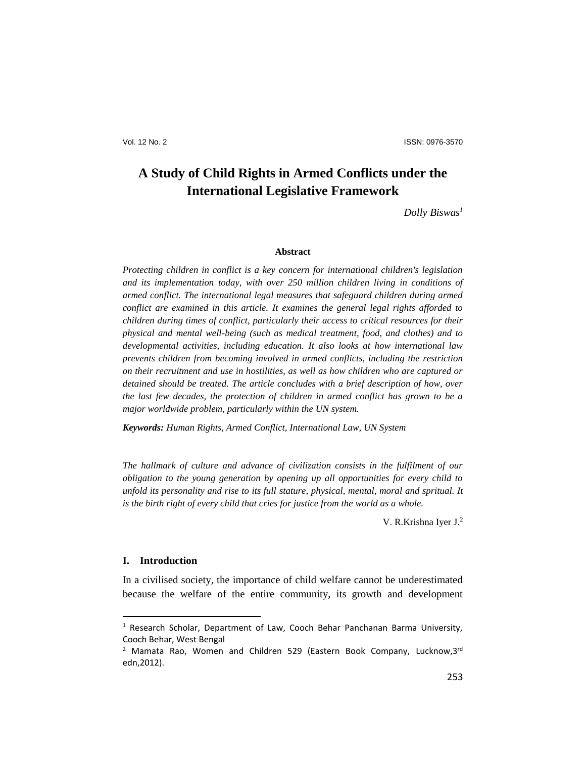# **A Study of Child Rights in Armed Conflicts under the International Legislative Framework**

*Dolly Biswas<sup>1</sup>*

#### **Abstract**

*Protecting children in conflict is a key concern for international children's legislation and its implementation today, with over 250 million children living in conditions of armed conflict. The international legal measures that safeguard children during armed conflict are examined in this article. It examines the general legal rights afforded to children during times of conflict, particularly their access to critical resources for their physical and mental well-being (such as medical treatment, food, and clothes) and to developmental activities, including education. It also looks at how international law prevents children from becoming involved in armed conflicts, including the restriction on their recruitment and use in hostilities, as well as how children who are captured or detained should be treated. The article concludes with a brief description of how, over the last few decades, the protection of children in armed conflict has grown to be a major worldwide problem, particularly within the UN system.*

*Keywords: Human Rights, Armed Conflict, International Law, UN System*

*The hallmark of culture and advance of civilization consists in the fulfilment of our obligation to the young generation by opening up all opportunities for every child to unfold its personality and rise to its full stature, physical, mental, moral and spritual. It is the birth right of every child that cries for justice from the world as a whole.*

V. R.Krishna Iyer J.<sup>2</sup>

#### **I. Introduction**

 $\overline{a}$ 

In a civilised society, the importance of child welfare cannot be underestimated because the welfare of the entire community, its growth and development

 $1$  Research Scholar, Department of Law, Cooch Behar Panchanan Barma University, Cooch Behar, West Bengal

<sup>&</sup>lt;sup>2</sup> Mamata Rao, Women and Children 529 (Eastern Book Company, Lucknow,  $3^{rd}$ edn,2012).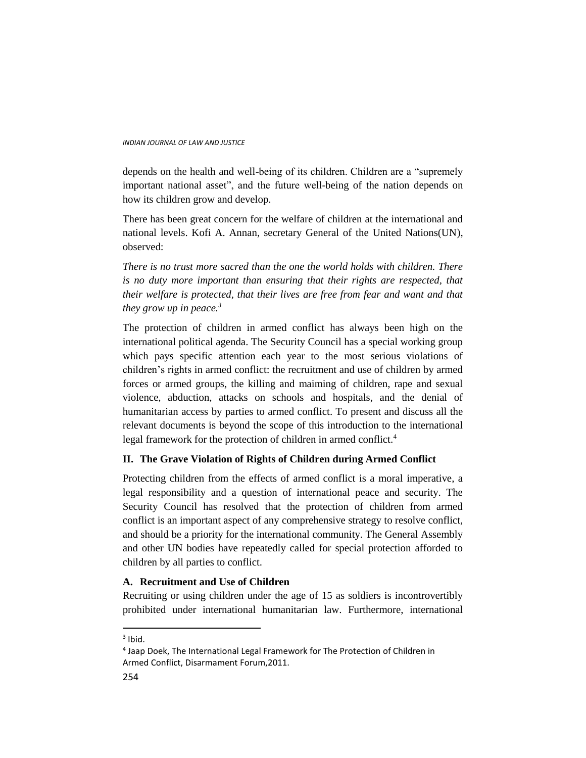depends on the health and well-being of its children. Children are a "supremely important national asset", and the future well-being of the nation depends on how its children grow and develop.

There has been great concern for the welfare of children at the international and national levels. Kofi A. Annan, secretary General of the United Nations(UN), observed:

*There is no trust more sacred than the one the world holds with children. There is no duty more important than ensuring that their rights are respected, that their welfare is protected, that their lives are free from fear and want and that they grow up in peace.<sup>3</sup>*

The protection of children in armed conflict has always been high on the international political agenda. The Security Council has a special working group which pays specific attention each year to the most serious violations of children's rights in armed conflict: the recruitment and use of children by armed forces or armed groups, the killing and maiming of children, rape and sexual violence, abduction, attacks on schools and hospitals, and the denial of humanitarian access by parties to armed conflict. To present and discuss all the relevant documents is beyond the scope of this introduction to the international legal framework for the protection of children in armed conflict.<sup>4</sup>

## **II. The Grave Violation of Rights of Children during Armed Conflict**

Protecting children from the effects of armed conflict is a moral imperative, a legal responsibility and a question of international peace and security. The Security Council has resolved that the protection of children from armed conflict is an important aspect of any comprehensive strategy to resolve conflict, and should be a priority for the international community. The General Assembly and other UN bodies have repeatedly called for special protection afforded to children by all parties to conflict.

## **A. Recruitment and Use of Children**

Recruiting or using children under the age of 15 as soldiers is incontrovertibly prohibited under international humanitarian law. Furthermore, international

 $\ddot{\phantom{a}}$ 

 $3$  Ibid.

<sup>4</sup> Jaap Doek, The International Legal Framework for The Protection of Children in Armed Conflict, Disarmament Forum,2011.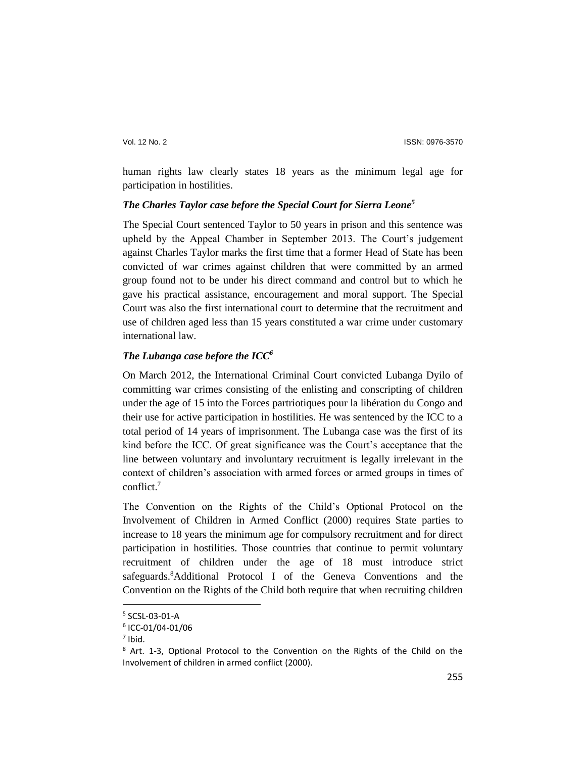human rights law clearly states 18 years as the minimum legal age for participation in hostilities.

## *The Charles Taylor case before the Special Court for Sierra Leone<sup>5</sup>*

The Special Court sentenced Taylor to 50 years in prison and this sentence was upheld by the Appeal Chamber in September 2013. The Court's judgement against Charles Taylor marks the first time that a former Head of State has been convicted of war crimes against children that were committed by an armed group found not to be under his direct command and control but to which he gave his practical assistance, encouragement and moral support. The Special Court was also the first international court to determine that the recruitment and use of children aged less than 15 years constituted a war crime under customary international law.

## *The Lubanga case before the ICC<sup>6</sup>*

On March 2012, the International Criminal Court convicted Lubanga Dyilo of committing war crimes consisting of the enlisting and conscripting of children under the age of 15 into the Forces partriotiques pour la libération du Congo and their use for active participation in hostilities. He was sentenced by the ICC to a total period of 14 years of imprisonment. The Lubanga case was the first of its kind before the ICC. Of great significance was the Court's acceptance that the line between voluntary and involuntary recruitment is legally irrelevant in the context of children's association with armed forces or armed groups in times of conflict. 7

The Convention on the Rights of the Child's Optional Protocol on the Involvement of Children in Armed Conflict (2000) requires State parties to increase to 18 years the minimum age for compulsory recruitment and for direct participation in hostilities. Those countries that continue to permit voluntary recruitment of children under the age of 18 must introduce strict safeguards.<sup>8</sup>Additional Protocol I of the Geneva Conventions and the Convention on the Rights of the Child both require that when recruiting children

<sup>5</sup> SCSL-03-01-A

<sup>6</sup> ICC-01/04-01/06

<sup>7</sup> Ibid.

 $8$  Art. 1-3, Optional Protocol to the Convention on the Rights of the Child on the Involvement of children in armed conflict (2000).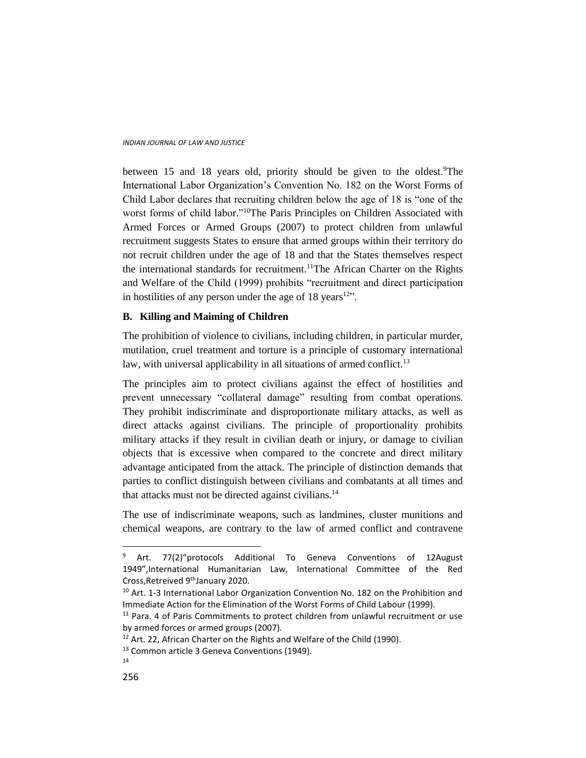between 15 and 18 years old, priority should be given to the oldest. The International Labor Organization's Convention No. 182 on the Worst Forms of Child Labor declares that recruiting children below the age of 18 is "one of the worst forms of child labor."<sup>10</sup>The Paris Principles on Children Associated with Armed Forces or Armed Groups (2007) to protect children from unlawful recruitment suggests States to ensure that armed groups within their territory do not recruit children under the age of 18 and that the States themselves respect the international standards for recruitment.<sup>11</sup>The African Charter on the Rights and Welfare of the Child (1999) prohibits "recruitment and direct participation in hostilities of any person under the age of  $18$  years<sup>12</sup>.

## **B. Killing and Maiming of Children**

The prohibition of violence to civilians, including children, in particular murder, mutilation, cruel treatment and torture is a principle of customary international law, with universal applicability in all situations of armed conflict.<sup>13</sup>

The principles aim to protect civilians against the effect of hostilities and prevent unnecessary "collateral damage" resulting from combat operations. They prohibit indiscriminate and disproportionate military attacks, as well as direct attacks against civilians. The principle of proportionality prohibits military attacks if they result in civilian death or injury, or damage to civilian objects that is excessive when compared to the concrete and direct military advantage anticipated from the attack. The principle of distinction demands that parties to conflict distinguish between civilians and combatants at all times and that attacks must not be directed against civilians.<sup>14</sup>

The use of indiscriminate weapons, such as landmines, cluster munitions and chemical weapons, are contrary to the law of armed conflict and contravene

 $\ddot{\phantom{a}}$ 

<sup>&</sup>lt;sup>9</sup> Art. 77(2) "protocols Additional To Geneva Conventions of 12August 1949",International Humanitarian Law, International Committee of the Red Cross, Retreived 9<sup>th</sup> January 2020.

<sup>&</sup>lt;sup>10</sup> Art. 1-3 International Labor Organization Convention No. 182 on the Prohibition and Immediate Action for the Elimination of the Worst Forms of Child Labour (1999).

<sup>&</sup>lt;sup>11</sup> Para. 4 of Paris Commitments to protect children from unlawful recruitment or use by armed forces or armed groups (2007).

<sup>&</sup>lt;sup>12</sup> Art. 22, African Charter on the Rights and Welfare of the Child (1990).

<sup>13</sup> Common article 3 Geneva Conventions (1949). 14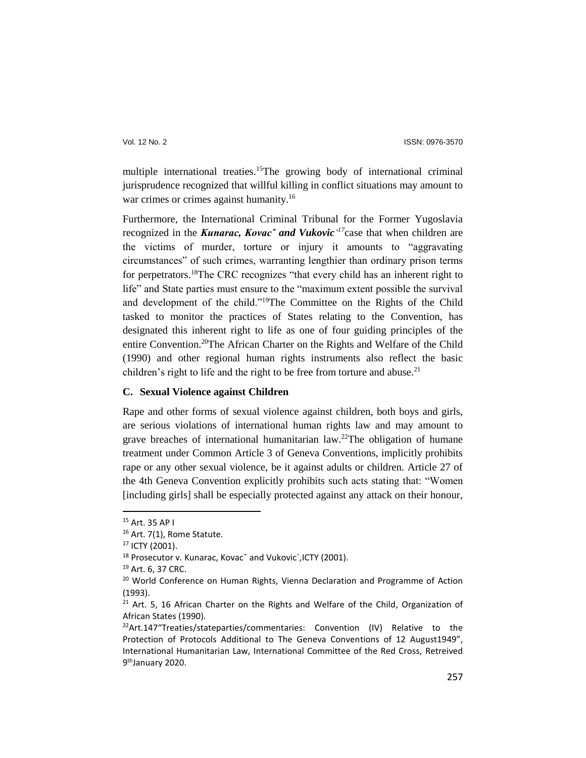Vol. 12 No. 2 ISSN: 0976-3570

multiple international treaties.<sup>15</sup>The growing body of international criminal jurisprudence recognized that willful killing in conflict situations may amount to war crimes or crimes against humanity.<sup>16</sup>

Furthermore, the International Criminal Tribunal for the Former Yugoslavia recognized in the *Kunarac, Kovacˇ and Vukovic' <sup>17</sup>*case that when children are the victims of murder, torture or injury it amounts to "aggravating circumstances" of such crimes, warranting lengthier than ordinary prison terms for perpetrators.<sup>18</sup>The CRC recognizes "that every child has an inherent right to life" and State parties must ensure to the "maximum extent possible the survival and development of the child."<sup>19</sup>The Committee on the Rights of the Child tasked to monitor the practices of States relating to the Convention, has designated this inherent right to life as one of four guiding principles of the entire Convention.<sup>20</sup>The African Charter on the Rights and Welfare of the Child (1990) and other regional human rights instruments also reflect the basic children's right to life and the right to be free from torture and abuse. $2<sup>1</sup>$ 

## **C. Sexual Violence against Children**

Rape and other forms of sexual violence against children, both boys and girls, are serious violations of international human rights law and may amount to grave breaches of international humanitarian law.<sup>22</sup>The obligation of humane treatment under Common Article 3 of Geneva Conventions, implicitly prohibits rape or any other sexual violence, be it against adults or children. Article 27 of the 4th Geneva Convention explicitly prohibits such acts stating that: "Women [including girls] shall be especially protected against any attack on their honour,

<sup>15</sup> Art. 35 AP I

<sup>16</sup> Art. 7(1), Rome Statute.

<sup>17</sup> ICTY (2001).

<sup>&</sup>lt;sup>18</sup> Prosecutor v. Kunarac, Kovac<sup>x</sup> and Vukovic', ICTY (2001).

<sup>19</sup> Art. 6, 37 CRC.

<sup>&</sup>lt;sup>20</sup> World Conference on Human Rights, Vienna Declaration and Programme of Action (1993).

 $21$  Art. 5, 16 African Charter on the Rights and Welfare of the Child, Organization of African States (1990).

 $^{22}$ Art.147"Treaties/stateparties/commentaries: Convention (IV) Relative to the Protection of Protocols Additional to The Geneva Conventions of 12 August1949", International Humanitarian Law, International Committee of the Red Cross, Retreived 9<sup>th</sup>January 2020.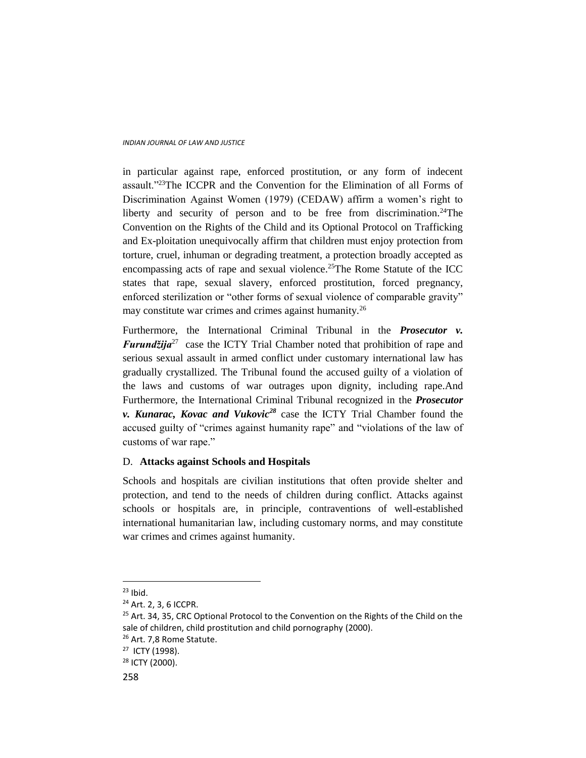in particular against rape, enforced prostitution, or any form of indecent assault."<sup>23</sup>The ICCPR and the Convention for the Elimination of all Forms of Discrimination Against Women (1979) (CEDAW) affirm a women's right to liberty and security of person and to be free from discrimination.<sup>24</sup>The Convention on the Rights of the Child and its Optional Protocol on Trafficking and Ex-ploitation unequivocally affirm that children must enjoy protection from torture, cruel, inhuman or degrading treatment, a protection broadly accepted as encompassing acts of rape and sexual violence.<sup>25</sup>The Rome Statute of the ICC states that rape, sexual slavery, enforced prostitution, forced pregnancy, enforced sterilization or "other forms of sexual violence of comparable gravity" may constitute war crimes and crimes against humanity.<sup>26</sup>

Furthermore, the International Criminal Tribunal in the *Prosecutor v. Furundžija*<sup>27</sup> case the ICTY Trial Chamber noted that prohibition of rape and serious sexual assault in armed conflict under customary international law has gradually crystallized. The Tribunal found the accused guilty of a violation of the laws and customs of war outrages upon dignity, including rape.And Furthermore, the International Criminal Tribunal recognized in the *Prosecutor v. Kunarac, Kovac and Vukovic<sup>28</sup>* case the ICTY Trial Chamber found the accused guilty of "crimes against humanity rape" and "violations of the law of customs of war rape."

## D. **Attacks against Schools and Hospitals**

Schools and hospitals are civilian institutions that often provide shelter and protection, and tend to the needs of children during conflict. Attacks against schools or hospitals are, in principle, contraventions of well-established international humanitarian law, including customary norms, and may constitute war crimes and crimes against humanity.

 $23$  Ibid.

<sup>24</sup> Art. 2, 3, 6 ICCPR.

<sup>&</sup>lt;sup>25</sup> Art. 34, 35, CRC Optional Protocol to the Convention on the Rights of the Child on the sale of children, child prostitution and child pornography (2000).

<sup>&</sup>lt;sup>26</sup> Art. 7.8 Rome Statute.

<sup>&</sup>lt;sup>27</sup> ICTY (1998).

<sup>28</sup> ICTY (2000).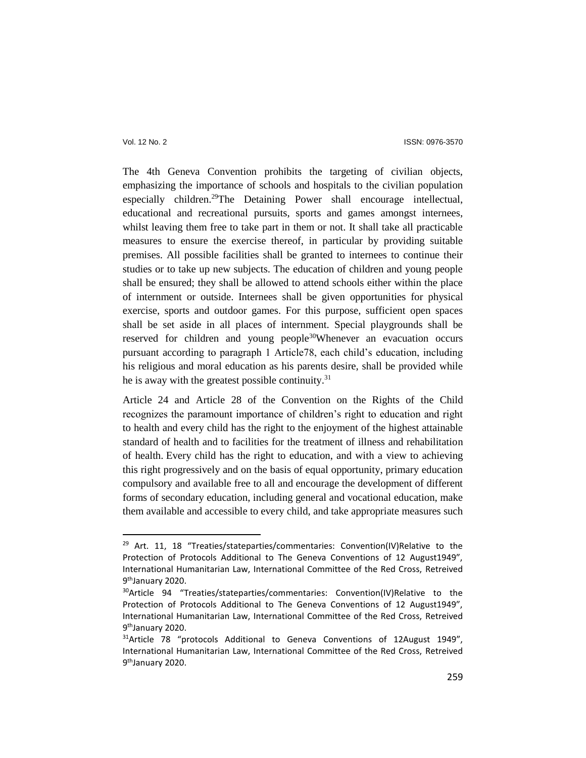$\overline{a}$ 

Vol. 12 No. 2 ISSN: 0976-3570

The 4th Geneva Convention prohibits the targeting of civilian objects, emphasizing the importance of schools and hospitals to the civilian population especially children.<sup>29</sup>The Detaining Power shall encourage intellectual, educational and recreational pursuits, sports and games amongst internees, whilst leaving them free to take part in them or not. It shall take all practicable measures to ensure the exercise thereof, in particular by providing suitable premises. All possible facilities shall be granted to internees to continue their studies or to take up new subjects. The education of children and young people shall be ensured; they shall be allowed to attend schools either within the place of internment or outside. Internees shall be given opportunities for physical exercise, sports and outdoor games. For this purpose, sufficient open spaces shall be set aside in all places of internment. Special playgrounds shall be reserved for children and young people<sup>30</sup>Whenever an evacuation occurs pursuant according to paragraph 1 Article78, each child's education, including his religious and moral education as his parents desire, shall be provided while he is away with the greatest possible continuity.<sup>31</sup>

Article 24 and Article 28 of the Convention on the Rights of the Child recognizes the paramount importance of children's right to education and right to health and every child has the right to the enjoyment of the highest attainable standard of health and to facilities for the treatment of illness and rehabilitation of health. Every child has the right to education, and with a view to achieving this right progressively and on the basis of equal opportunity, primary education compulsory and available free to all and encourage the development of different forms of secondary education, including general and vocational education, make them available and accessible to every child, and take appropriate measures such

<sup>&</sup>lt;sup>29</sup> Art. 11, 18 "Treaties/stateparties/commentaries: Convention(IV)Relative to the Protection of Protocols Additional to The Geneva Conventions of 12 August1949", International Humanitarian Law, International Committee of the Red Cross, Retreived 9 thJanuary 2020.

 $30$ Article 94 "Treaties/stateparties/commentaries: Convention(IV)Relative to the Protection of Protocols Additional to The Geneva Conventions of 12 August1949", International Humanitarian Law, International Committee of the Red Cross, Retreived 9<sup>th</sup>January 2020.

 $31$ Article 78 "protocols Additional to Geneva Conventions of 12August 1949". International Humanitarian Law, International Committee of the Red Cross, Retreived 9<sup>th</sup>January 2020.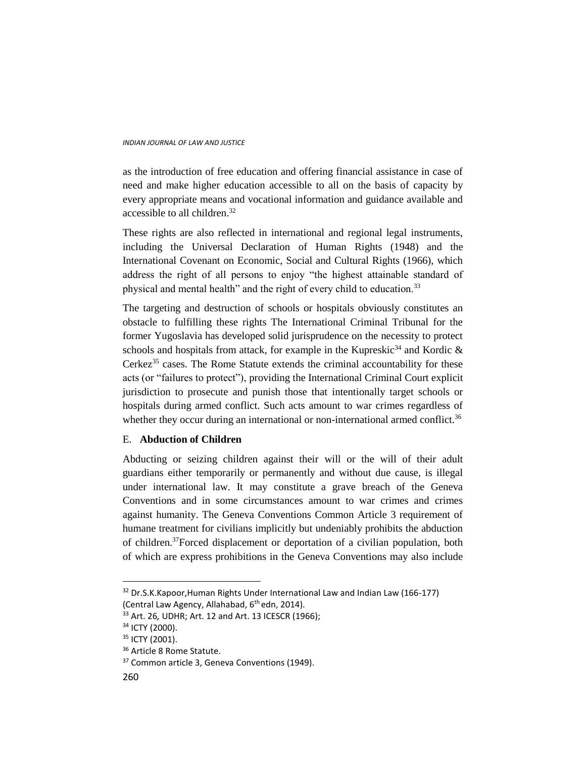as the introduction of free education and offering financial assistance in case of need and make higher education accessible to all on the basis of capacity by every appropriate means and vocational information and guidance available and accessible to all children.<sup>32</sup>

These rights are also reflected in international and regional legal instruments, including the Universal Declaration of Human Rights (1948) and the International Covenant on Economic, Social and Cultural Rights (1966), which address the right of all persons to enjoy "the highest attainable standard of physical and mental health" and the right of every child to education.<sup>33</sup>

The targeting and destruction of schools or hospitals obviously constitutes an obstacle to fulfilling these rights The International Criminal Tribunal for the former Yugoslavia has developed solid jurisprudence on the necessity to protect schools and hospitals from attack, for example in the Kupreskic<sup>34</sup> and Kordic  $\&$ Cerkez<sup>35</sup> cases. The Rome Statute extends the criminal accountability for these acts (or "failures to protect"), providing the International Criminal Court explicit jurisdiction to prosecute and punish those that intentionally target schools or hospitals during armed conflict. Such acts amount to war crimes regardless of whether they occur during an international or non-international armed conflict.<sup>36</sup>

## E. **Abduction of Children**

Abducting or seizing children against their will or the will of their adult guardians either temporarily or permanently and without due cause, is illegal under international law. It may constitute a grave breach of the Geneva Conventions and in some circumstances amount to war crimes and crimes against humanity. The Geneva Conventions Common Article 3 requirement of humane treatment for civilians implicitly but undeniably prohibits the abduction of children.<sup>37</sup>Forced displacement or deportation of a civilian population, both of which are express prohibitions in the Geneva Conventions may also include

<sup>32</sup> Dr.S.K.Kapoor,Human Rights Under International Law and Indian Law (166-177) (Central Law Agency, Allahabad, 6<sup>th</sup> edn, 2014).

<sup>33</sup> Art. 26*,* UDHR; Art. 12 and Art. 13 ICESCR (1966);

<sup>34</sup> ICTY (2000).

<sup>&</sup>lt;sup>35</sup> ICTY (2001).

<sup>&</sup>lt;sup>36</sup> Article 8 Rome Statute.

<sup>&</sup>lt;sup>37</sup> Common article 3, Geneva Conventions (1949).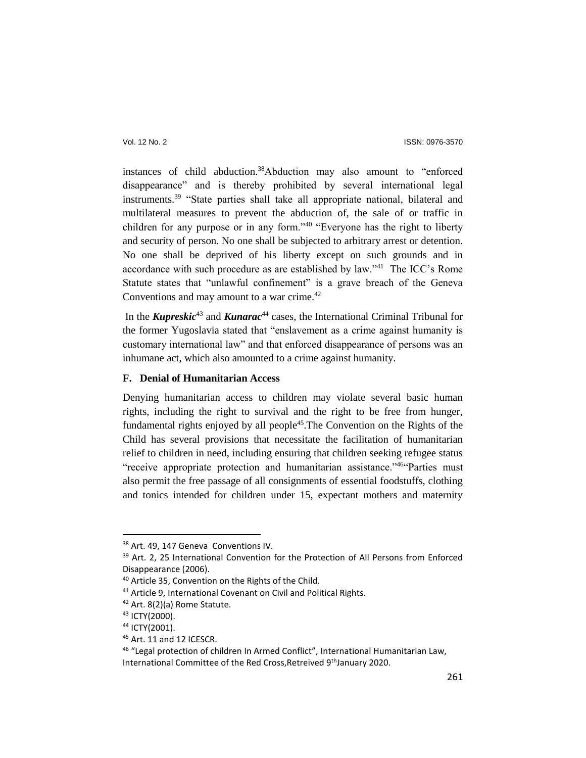Vol. 12 No. 2 ISSN: 0976-3570

instances of child abduction.<sup>38</sup>Abduction may also amount to "enforced disappearance" and is thereby prohibited by several international legal instruments.<sup>39</sup> "State parties shall take all appropriate national, bilateral and multilateral measures to prevent the abduction of, the sale of or traffic in children for any purpose or in any form."<sup>40</sup> "Everyone has the right to liberty and security of person. No one shall be subjected to arbitrary arrest or detention. No one shall be deprived of his liberty except on such grounds and in accordance with such procedure as are established by law."<sup>41</sup> The ICC's Rome Statute states that "unlawful confinement" is a grave breach of the Geneva Conventions and may amount to a war crime. $42$ 

In the *Kupreskic*<sup>43</sup> and *Kunarac*<sup>44</sup> cases, the International Criminal Tribunal for the former Yugoslavia stated that "enslavement as a crime against humanity is customary international law" and that enforced disappearance of persons was an inhumane act, which also amounted to a crime against humanity.

## **F. Denial of Humanitarian Access**

Denying humanitarian access to children may violate several basic human rights, including the right to survival and the right to be free from hunger, fundamental rights enjoyed by all people<sup>45</sup>. The Convention on the Rights of the Child has several provisions that necessitate the facilitation of humanitarian relief to children in need, including ensuring that children seeking refugee status "receive appropriate protection and humanitarian assistance."<sup>46"</sup>Parties must also permit the free passage of all consignments of essential foodstuffs, clothing and tonics intended for children under 15, expectant mothers and maternity

<sup>&</sup>lt;sup>38</sup> Art. 49, 147 Geneva Conventions IV.

<sup>&</sup>lt;sup>39</sup> Art. 2, 25 International Convention for the Protection of All Persons from Enforced Disappearance (2006).

<sup>40</sup> Article 35, Convention on the Rights of the Child.

<sup>&</sup>lt;sup>41</sup> Article 9, International Covenant on Civil and Political Rights.

 $42$  Art. 8(2)(a) Rome Statute.

<sup>43</sup> ICTY(2000).

<sup>44</sup> ICTY(2001).

<sup>&</sup>lt;sup>45</sup> Art. 11 and 12 ICESCR.

<sup>&</sup>lt;sup>46</sup> "Legal protection of children In Armed Conflict", International Humanitarian Law, International Committee of the Red Cross, Retreived 9<sup>th</sup>January 2020.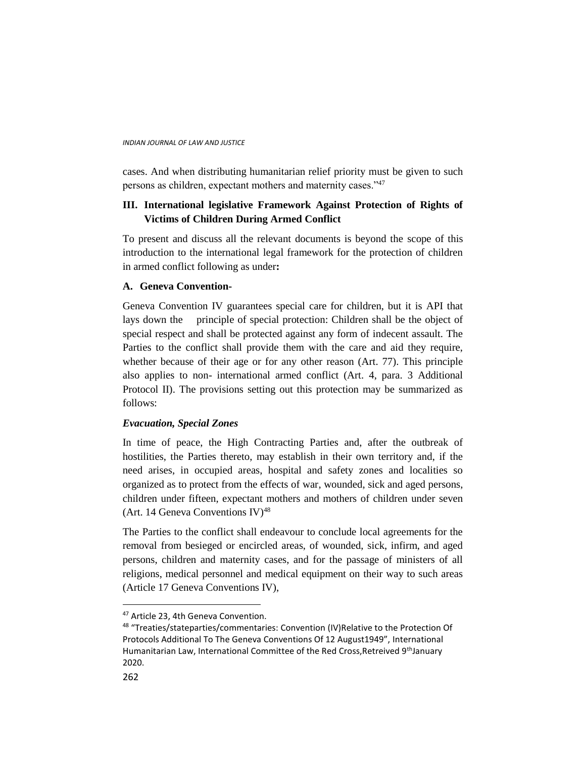cases. And when distributing humanitarian relief priority must be given to such persons as children, expectant mothers and maternity cases."<sup>47</sup>

## **III. International legislative Framework Against Protection of Rights of Victims of Children During Armed Conflict**

To present and discuss all the relevant documents is beyond the scope of this introduction to the international legal framework for the protection of children in armed conflict following as under**:**

## **A. Geneva Convention-**

Geneva Convention IV guarantees special care for children, but it is API that lays down the principle of special protection: Children shall be the object of special respect and shall be protected against any form of indecent assault. The Parties to the conflict shall provide them with the care and aid they require, whether because of their age or for any other reason (Art. 77). This principle also applies to non- international armed conflict (Art. 4, para. 3 Additional Protocol II). The provisions setting out this protection may be summarized as follows:

## *Evacuation, Special Zones*

In time of peace, the High Contracting Parties and, after the outbreak of hostilities, the Parties thereto, may establish in their own territory and, if the need arises, in occupied areas, hospital and safety zones and localities so organized as to protect from the effects of war, wounded, sick and aged persons, children under fifteen, expectant mothers and mothers of children under seven (Art. 14 Geneva Conventions IV) $^{48}$ 

The Parties to the conflict shall endeavour to conclude local agreements for the removal from besieged or encircled areas, of wounded, sick, infirm, and aged persons, children and maternity cases, and for the passage of ministers of all religions, medical personnel and medical equipment on their way to such areas (Article 17 Geneva Conventions IV),

<sup>47</sup> Article 23, 4th Geneva Convention.

<sup>48</sup> "Treaties/stateparties/commentaries: Convention (IV)Relative to the Protection Of Protocols Additional To The Geneva Conventions Of 12 August1949", International Humanitarian Law, International Committee of the Red Cross, Retreived 9<sup>th</sup>January 2020.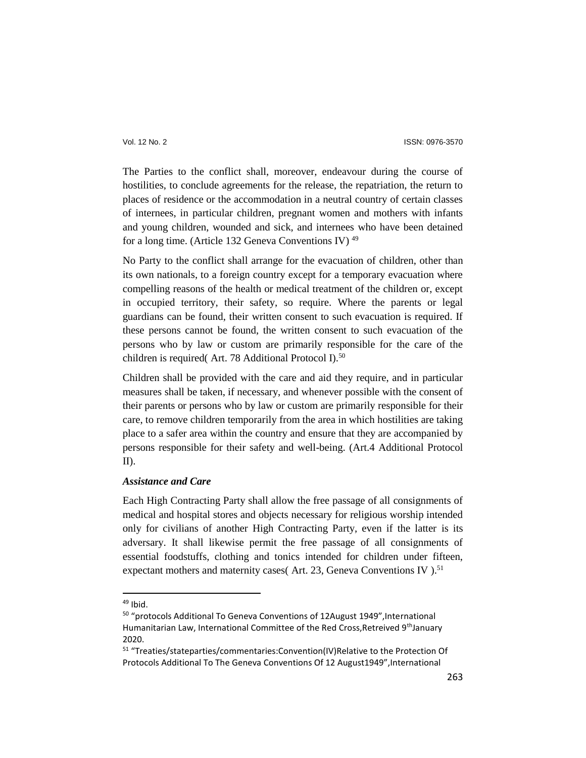Vol. 12 No. 2 ISSN: 0976-3570

The Parties to the conflict shall, moreover, endeavour during the course of hostilities, to conclude agreements for the release, the repatriation, the return to places of residence or the accommodation in a neutral country of certain classes of internees, in particular children, pregnant women and mothers with infants and young children, wounded and sick, and internees who have been detained for a long time. (Article 132 Geneva Conventions IV) <sup>49</sup>

No Party to the conflict shall arrange for the evacuation of children, other than its own nationals, to a foreign country except for a temporary evacuation where compelling reasons of the health or medical treatment of the children or, except in occupied territory, their safety, so require. Where the parents or legal guardians can be found, their written consent to such evacuation is required. If these persons cannot be found, the written consent to such evacuation of the persons who by law or custom are primarily responsible for the care of the children is required(Art. 78 Additional Protocol I).<sup>50</sup>

Children shall be provided with the care and aid they require, and in particular measures shall be taken, if necessary, and whenever possible with the consent of their parents or persons who by law or custom are primarily responsible for their care, to remove children temporarily from the area in which hostilities are taking place to a safer area within the country and ensure that they are accompanied by persons responsible for their safety and well-being. (Art.4 Additional Protocol II).

### *Assistance and Care*

Each High Contracting Party shall allow the free passage of all consignments of medical and hospital stores and objects necessary for religious worship intended only for civilians of another High Contracting Party, even if the latter is its adversary. It shall likewise permit the free passage of all consignments of essential foodstuffs, clothing and tonics intended for children under fifteen, expectant mothers and maternity cases (Art. 23, Geneva Conventions IV).<sup>51</sup>

 $49$  Ibid.

<sup>50</sup> "protocols Additional To Geneva Conventions of 12August 1949",International Humanitarian Law, International Committee of the Red Cross, Retreived 9<sup>th</sup>January 2020.

<sup>&</sup>lt;sup>51</sup> "Treaties/stateparties/commentaries:Convention(IV)Relative to the Protection Of Protocols Additional To The Geneva Conventions Of 12 August1949",International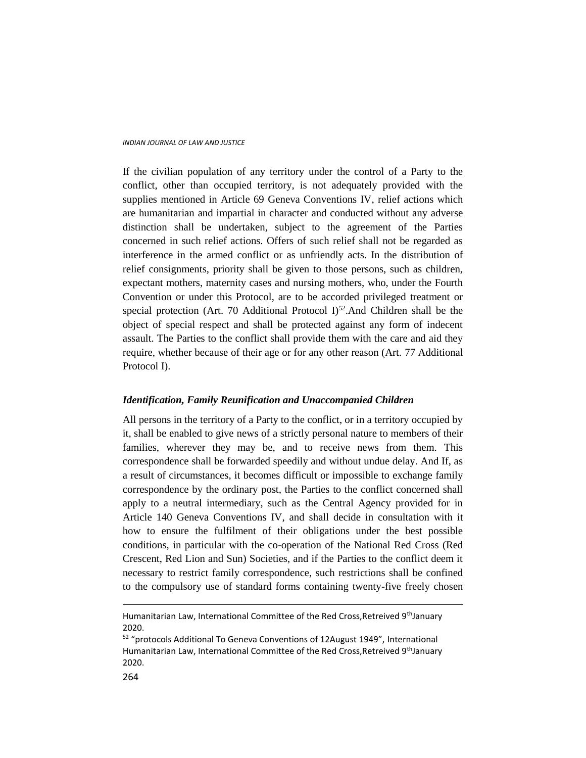If the civilian population of any territory under the control of a Party to the conflict, other than occupied territory, is not adequately provided with the supplies mentioned in Article 69 Geneva Conventions IV, relief actions which are humanitarian and impartial in character and conducted without any adverse distinction shall be undertaken, subject to the agreement of the Parties concerned in such relief actions. Offers of such relief shall not be regarded as interference in the armed conflict or as unfriendly acts. In the distribution of relief consignments, priority shall be given to those persons, such as children, expectant mothers, maternity cases and nursing mothers, who, under the Fourth Convention or under this Protocol, are to be accorded privileged treatment or special protection (Art. 70 Additional Protocol I) $52$ . And Children shall be the object of special respect and shall be protected against any form of indecent assault. The Parties to the conflict shall provide them with the care and aid they require, whether because of their age or for any other reason (Art. 77 Additional Protocol I).

## *Identification, Family Reunification and Unaccompanied Children*

All persons in the territory of a Party to the conflict, or in a territory occupied by it, shall be enabled to give news of a strictly personal nature to members of their families, wherever they may be, and to receive news from them. This correspondence shall be forwarded speedily and without undue delay. And If, as a result of circumstances, it becomes difficult or impossible to exchange family correspondence by the ordinary post, the Parties to the conflict concerned shall apply to a neutral intermediary, such as the Central Agency provided for in Article 140 Geneva Conventions IV, and shall decide in consultation with it how to ensure the fulfilment of their obligations under the best possible conditions, in particular with the co-operation of the National Red Cross (Red Crescent, Red Lion and Sun) Societies, and if the Parties to the conflict deem it necessary to restrict family correspondence, such restrictions shall be confined to the compulsory use of standard forms containing twenty-five freely chosen

**.** 

Humanitarian Law, International Committee of the Red Cross, Retreived 9<sup>th</sup>January 2020.

<sup>52</sup> "protocols Additional To Geneva Conventions of 12August 1949", International Humanitarian Law, International Committee of the Red Cross, Retreived 9<sup>th</sup>January 2020.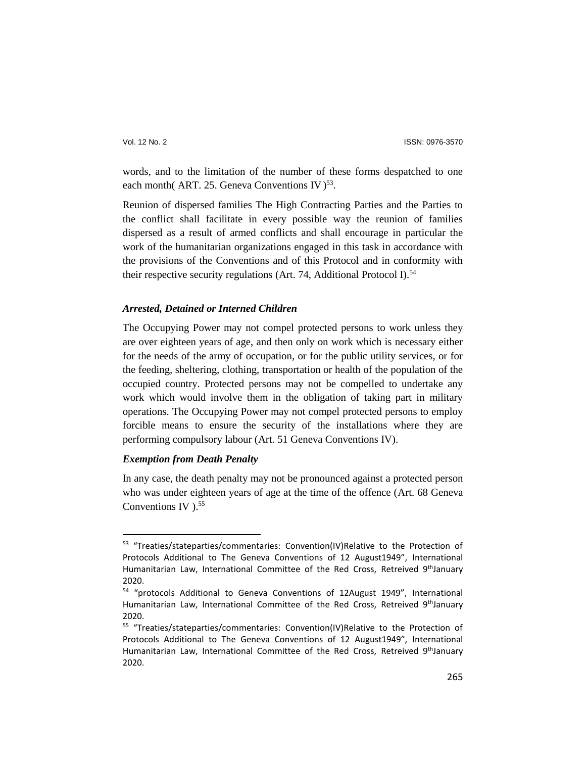words, and to the limitation of the number of these forms despatched to one each month( ART. 25. Geneva Conventions IV)<sup>53</sup>.

Reunion of dispersed families The High Contracting Parties and the Parties to the conflict shall facilitate in every possible way the reunion of families dispersed as a result of armed conflicts and shall encourage in particular the work of the humanitarian organizations engaged in this task in accordance with the provisions of the Conventions and of this Protocol and in conformity with their respective security regulations (Art. 74, Additional Protocol I).<sup>54</sup>

### *Arrested, Detained or Interned Children*

The Occupying Power may not compel protected persons to work unless they are over eighteen years of age, and then only on work which is necessary either for the needs of the army of occupation, or for the public utility services, or for the feeding, sheltering, clothing, transportation or health of the population of the occupied country. Protected persons may not be compelled to undertake any work which would involve them in the obligation of taking part in military operations. The Occupying Power may not compel protected persons to employ forcible means to ensure the security of the installations where they are performing compulsory labour (Art. 51 Geneva Conventions IV).

## *Exemption from Death Penalty*

 $\overline{a}$ 

In any case, the death penalty may not be pronounced against a protected person who was under eighteen years of age at the time of the offence (Art. 68 Geneva Conventions IV $)$ .<sup>55</sup>

<sup>53</sup> "Treaties/stateparties/commentaries: Convention(IV)Relative to the Protection of Protocols Additional to The Geneva Conventions of 12 August1949", International Humanitarian Law, International Committee of the Red Cross, Retreived 9thJanuary 2020.

<sup>&</sup>lt;sup>54</sup> "protocols Additional to Geneva Conventions of 12August 1949", International Humanitarian Law, International Committee of the Red Cross, Retreived 9<sup>th</sup>January 2020.

<sup>&</sup>lt;sup>55</sup> "Treaties/stateparties/commentaries: Convention(IV)Relative to the Protection of Protocols Additional to The Geneva Conventions of 12 August1949", International Humanitarian Law, International Committee of the Red Cross, Retreived 9thJanuary 2020.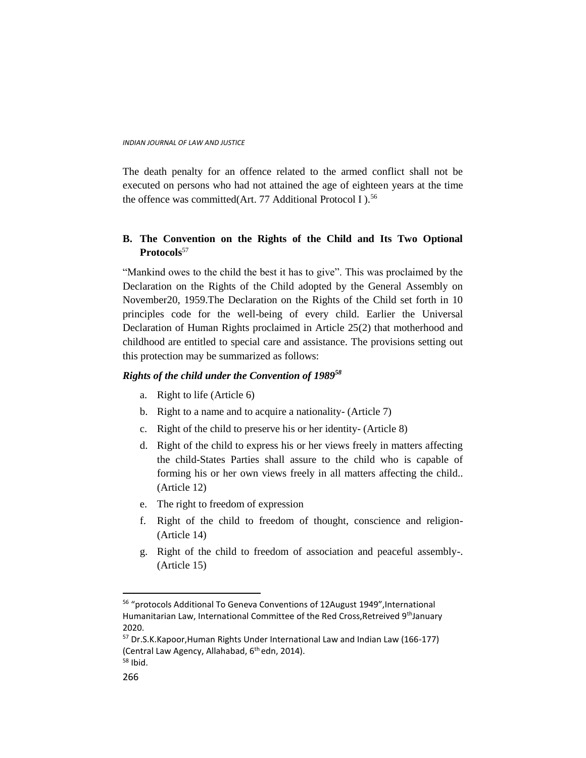The death penalty for an offence related to the armed conflict shall not be executed on persons who had not attained the age of eighteen years at the time the offence was committed(Art. 77 Additional Protocol I).<sup>56</sup>

## **B. The Convention on the Rights of the Child and Its Two Optional Protocols**<sup>57</sup>

"Mankind owes to the child the best it has to give". This was proclaimed by the Declaration on the Rights of the Child adopted by the General Assembly on November20, 1959.The Declaration on the Rights of the Child set forth in 10 principles code for the well-being of every child. Earlier the Universal Declaration of Human Rights proclaimed in Article 25(2) that motherhood and childhood are entitled to special care and assistance. The provisions setting out this protection may be summarized as follows:

## *Rights of the child under the Convention of 1989<sup>58</sup>*

- a. Right to life (Article 6)
- b. Right to a name and to acquire a nationality- (Article 7)
- c. Right of the child to preserve his or her identity- (Article 8)
- d. Right of the child to express his or her views freely in matters affecting the child-States Parties shall assure to the child who is capable of forming his or her own views freely in all matters affecting the child.. (Article 12)
- e. The right to freedom of expression
- f. Right of the child to freedom of thought, conscience and religion- (Article 14)
- g. Right of the child to freedom of association and peaceful assembly-. (Article 15)

<sup>&</sup>lt;sup>56</sup> "protocols Additional To Geneva Conventions of 12August 1949", International Humanitarian Law, International Committee of the Red Cross, Retreived 9<sup>th</sup>January 2020.

<sup>57</sup> Dr.S.K.Kapoor,Human Rights Under International Law and Indian Law (166-177) (Central Law Agency, Allahabad, 6th edn, 2014).  $58$  Ibid.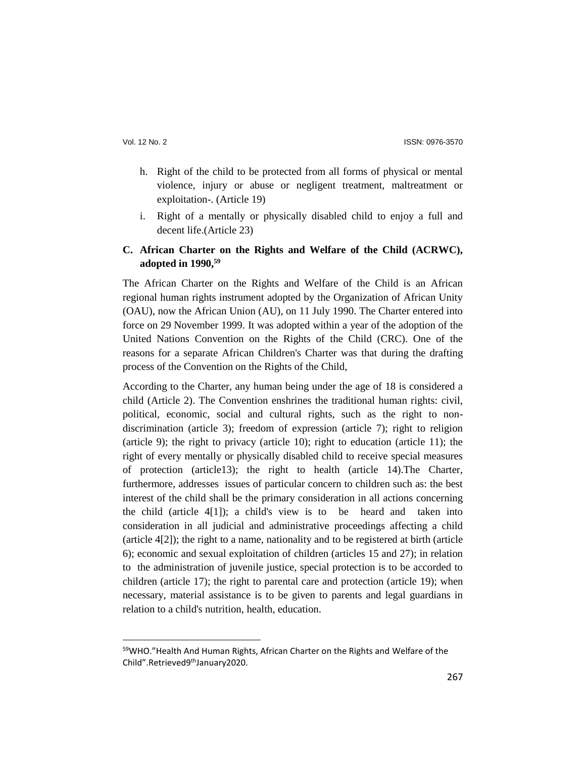$\overline{a}$ 

- h. Right of the child to be protected from all forms of physical or mental violence, injury or abuse or negligent treatment, maltreatment or exploitation-. (Article 19)
- i. Right of a mentally or physically disabled child to enjoy a full and decent life.(Article 23)

## **C. African Charter on the Rights and Welfare of the Child (ACRWC), adopted in 1990,<sup>59</sup>**

The African Charter on the Rights and Welfare of the Child is an African regional human rights instrument adopted by the Organization of African Unity (OAU), now the African Union (AU), on 11 July 1990. The Charter entered into force on 29 November 1999. It was adopted within a year of the adoption of the United Nations Convention on the Rights of the Child (CRC). One of the reasons for a separate African Children's Charter was that during the drafting process of the Convention on the Rights of the Child,

According to the Charter, any human being under the age of 18 is considered a child (Article 2). The Convention enshrines the traditional human rights: civil, political, economic, social and cultural rights, such as the right to nondiscrimination (article 3); freedom of expression (article 7); right to religion (article 9); the right to privacy (article 10); right to education (article 11); the right of every mentally or physically disabled child to receive special measures of protection (article13); the right to health (article 14).The Charter, furthermore, addresses issues of particular concern to children such as: the best interest of the child shall be the primary consideration in all actions concerning the child (article  $4[1]$ ); a child's view is to be heard and taken into consideration in all judicial and administrative proceedings affecting a child (article 4[2]); the right to a name, nationality and to be registered at birth (article 6); economic and sexual exploitation of children (articles 15 and 27); in relation to the administration of juvenile justice, special protection is to be accorded to children (article 17); the right to parental care and protection (article 19); when necessary, material assistance is to be given to parents and legal guardians in relation to a child's nutrition, health, education.

<sup>&</sup>lt;sup>59</sup>WHO."Health And Human Rights, African Charter on the Rights and Welfare of the Child".Retrieved9<sup>th</sup>January2020.